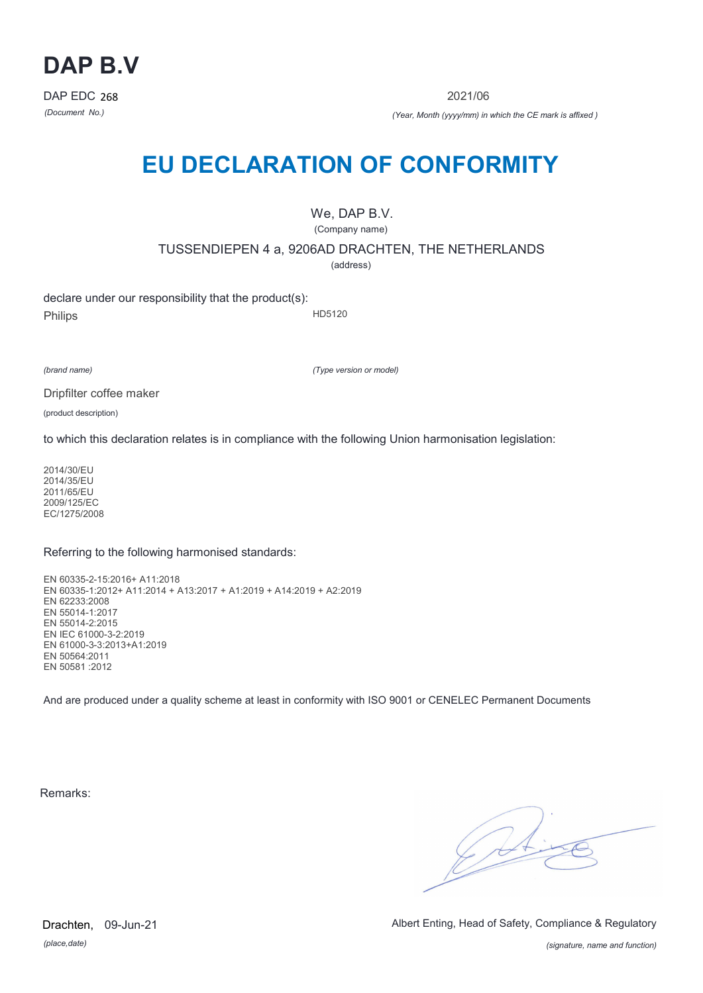

2021/06

*(Document No.) (Year, Month (yyyy/mm) in which the CE mark is affixed )*

# **EU DECLARATION OF CONFORMITY**

We, DAP B.V. (Company name)

TUSSENDIEPEN 4 a, 9206AD DRACHTEN, THE NETHERLANDS

(address)

declare under our responsibility that the product(s): Philips HD5120

*(brand name)*

*(Type version or model)*

Dripfilter coffee maker

(product description)

to which this declaration relates is in compliance with the following Union harmonisation legislation:

2014/30/EU 2014/35/EU 2011/65/EU 2009/125/EC EC/1275/2008

### Referring to the following harmonised standards:

EN 60335-2-15:2016+ A11:2018 EN 60335-1:2012+ A11:2014 + A13:2017 + A1:2019 + A14:2019 + A2:2019 EN 62233:2008 EN 55014-1:2017 EN 55014-2:2015 EN IEC 61000-3-2:2019 EN 61000-3-3:2013+A1:2019 EN 50564:2011 EN 50581 :2012

And are produced under a quality scheme at least in conformity with ISO 9001 or CENELEC Permanent Documents

Remarks:

 $\sqrt{24}$ 

*(place,date)* Drachten, 09-Jun-21 Albert Enting, Head of Safety, Compliance & Regulatory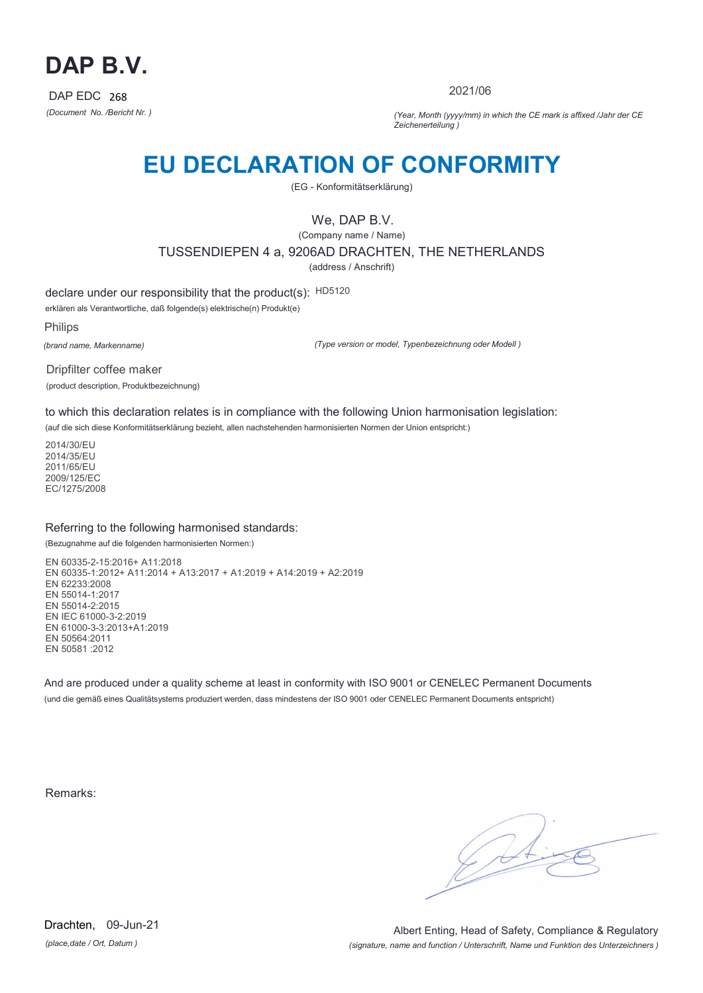

2021/06

*(Document No. /Bericht Nr. ) (Year, Month (yyyy/mm) in which the CE mark is affixed /Jahr der CE Zeichenerteilung )*

## **EU DECLARATION OF CONFORMITY**

(EG - Konformitätserklärung)

We, DAP B.V.

(Company name / Name) TUSSENDIEPEN 4 a, 9206AD DRACHTEN, THE NETHERLANDS (address / Anschrift)

declare under our responsibility that the product(s): HD5120

erklären als Verantwortliche, daß folgende(s) elektrische(n) Produkt(e)

Philips

*(brand name, Markenname)*

*(Type version or model, Typenbezeichnung oder Modell )*

Dripfilter coffee maker (product description, Produktbezeichnung)

to which this declaration relates is in compliance with the following Union harmonisation legislation:

(auf die sich diese Konformitätserklärung bezieht, allen nachstehenden harmonisierten Normen der Union entspricht:)

2014/30/EU 2014/35/EU 2011/65/EU 2009/125/EC EC/1275/2008

### Referring to the following harmonised standards:

(Bezugnahme auf die folgenden harmonisierten Normen:)

EN 60335-2-15:2016+ A11:2018 EN 60335-1:2012+ A11:2014 + A13:2017 + A1:2019 + A14:2019 + A2:2019 EN 62233:2008 EN 55014-1:2017 EN 55014-2:2015 EN IEC 61000-3-2:2019 EN 61000-3-3:2013+A1:2019 EN 50564:2011 EN 50581 :2012

And are produced under a quality scheme at least in conformity with ISO 9001 or CENELEC Permanent Documents (und die gemäß eines Qualitätsystems produziert werden, dass mindestens der ISO 9001 oder CENELEC Permanent Documents entspricht)

Remarks:

*(place,date / Ort, Datum )* Drachten, 09-Jun-21

*(signature, name and function / Unterschrift, Name und Funktion des Unterzeichners )* Albert Enting, Head of Safety, Compliance & Regulatory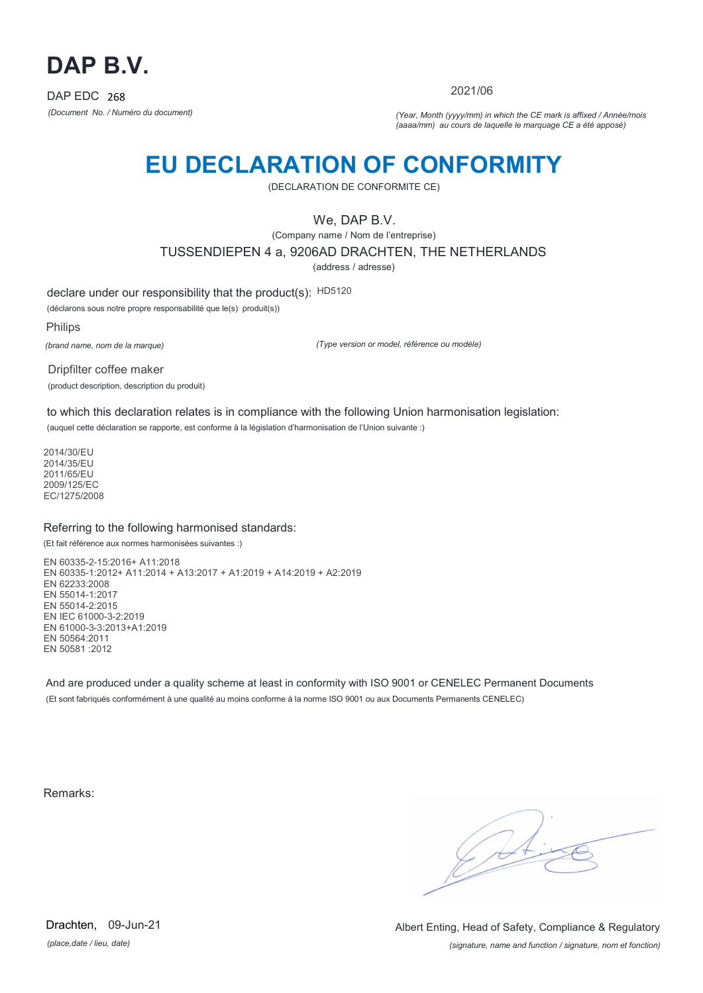

2021/06

*(Document No. / Numéro du document) (Year, Month (yyyy/mm) in which the CE mark is affixed / Année/mois (aaaa/mm) au cours de laquelle le marquage CE a été apposé)*

## **EU DECLARATION OF CONFORMITY**

(DECLARATION DE CONFORMITE CE)

We, DAP B.V.

(Company name / Nom de l'entreprise)

TUSSENDIEPEN 4 a, 9206AD DRACHTEN, THE NETHERLANDS

(address / adresse)

declare under our responsibility that the product(s): HD5120

(déclarons sous notre propre responsabilité que le(s) produit(s))

Philips

*(brand name, nom de la marque)*

*(Type version or model, référence ou modèle)*

Dripfilter coffee maker (product description, description du produit)

to which this declaration relates is in compliance with the following Union harmonisation legislation: (auquel cette déclaration se rapporte, est conforme à la législation d'harmonisation de l'Union suivante :)

2014/30/EU 2014/35/EU 2011/65/EU 2009/125/EC EC/1275/2008

### Referring to the following harmonised standards:

(Et fait référence aux normes harmonisées suivantes :)

EN 60335-2-15:2016+ A11:2018 EN 60335-1:2012+ A11:2014 + A13:2017 + A1:2019 + A14:2019 + A2:2019 EN 62233:2008 EN 55014-1:2017 EN 55014-2:2015 EN IEC 61000-3-2:2019 EN 61000-3-3:2013+A1:2019 EN 50564:2011 EN 50581 :2012

And are produced under a quality scheme at least in conformity with ISO 9001 or CENELEC Permanent Documents (Et sont fabriqués conformément à une qualité au moins conforme à la norme ISO 9001 ou aux Documents Permanents CENELEC)

Remarks:

 $\sqrt{14}$ 

*(place,date / lieu, date)* Drachten, 09-Jun-21

*(signature, name and function / signature, nom et fonction)* Albert Enting, Head of Safety, Compliance & Regulatory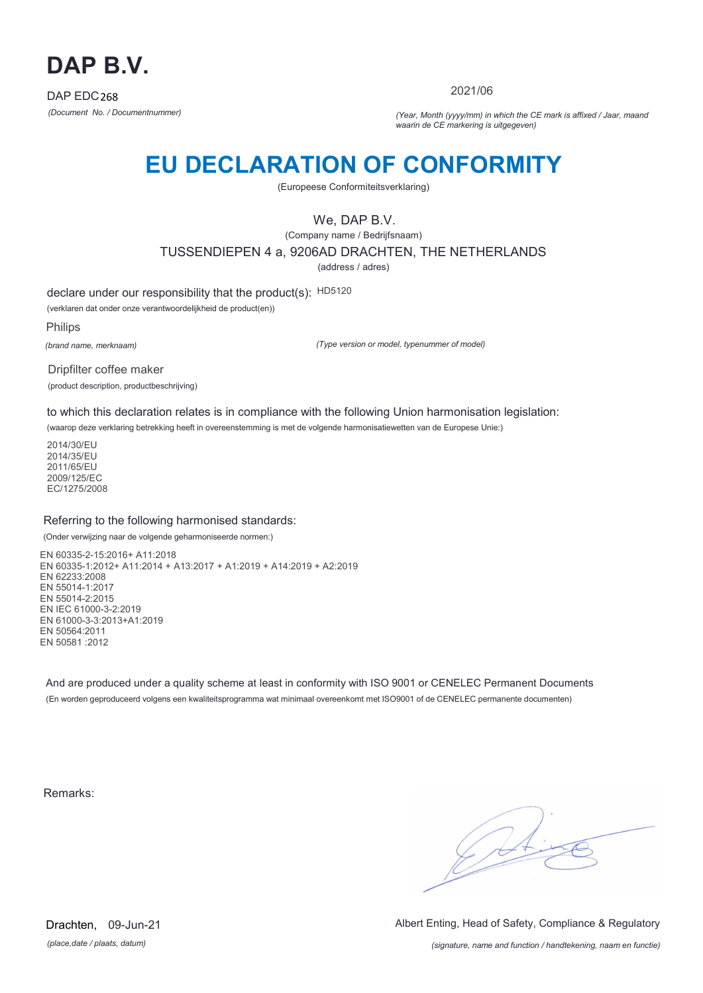

2021/06

*(Document No. / Documentnummer) (Year, Month (yyyy/mm) in which the CE mark is affixed / Jaar, maand waarin de CE markering is uitgegeven)*

## **EU DECLARATION OF CONFORMITY**

(Europeese Conformiteitsverklaring)

We, DAP B.V.

(Company name / Bedrijfsnaam) TUSSENDIEPEN 4 a, 9206AD DRACHTEN, THE NETHERLANDS

(address / adres)

declare under our responsibility that the product(s): HD5120

(verklaren dat onder onze verantwoordelijkheid de product(en))

Philips

*(brand name, merknaam)*

*(Type version or model, typenummer of model)*

Dripfilter coffee maker (product description, productbeschrijving)

to which this declaration relates is in compliance with the following Union harmonisation legislation:

(waarop deze verklaring betrekking heeft in overeenstemming is met de volgende harmonisatiewetten van de Europese Unie:)

2014/30/EU 2014/35/EU 2011/65/EU 2009/125/EC EC/1275/2008

### Referring to the following harmonised standards:

(Onder verwijzing naar de volgende geharmoniseerde normen:)

EN 60335-2-15:2016+ A11:2018 EN 60335-1:2012+ A11:2014 + A13:2017 + A1:2019 + A14:2019 + A2:2019 EN 62233:2008 EN 55014-1:2017 EN 55014-2:2015 EN IEC 61000-3-2:2019 EN 61000-3-3:2013+A1:2019 EN 50564:2011 EN 50581 :2012

And are produced under a quality scheme at least in conformity with ISO 9001 or CENELEC Permanent Documents (En worden geproduceerd volgens een kwaliteitsprogramma wat minimaal overeenkomt met ISO9001 of de CENELEC permanente documenten)

Remarks:

 $\sqrt{d^4}$ 

*(place,date / plaats, datum)* Drachten, 09-Jun-21 Albert Enting, Head of Safety, Compliance & Regulatory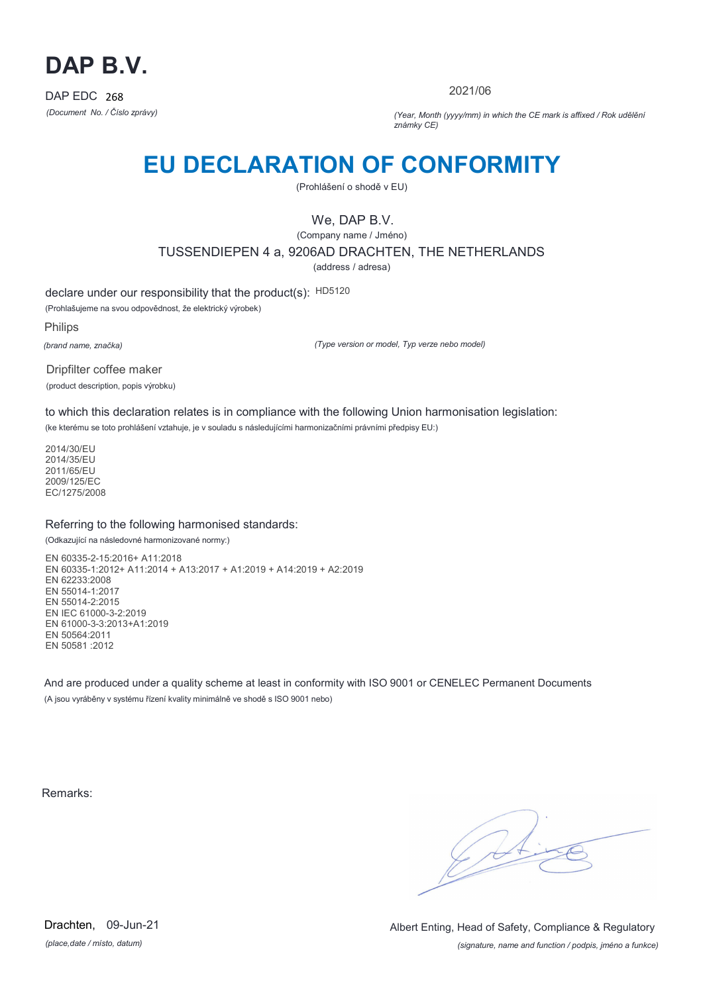

2021/06

*(Document No. / Číslo zprávy) (Year, Month (yyyy/mm) in which the CE mark is affixed / Rok udělění známky CE)*

## **EU DECLARATION OF CONFORMITY**

(Prohlášení o shodě v EU)

We, DAP B.V.

(Company name / Jméno) TUSSENDIEPEN 4 a, 9206AD DRACHTEN, THE NETHERLANDS

(address / adresa)

declare under our responsibility that the product(s): HD5120

(Prohlašujeme na svou odpovědnost, že elektrický výrobek)

Philips

*(brand name, značka)*

*(Type version or model, Typ verze nebo model)*

Dripfilter coffee maker (product description, popis výrobku)

to which this declaration relates is in compliance with the following Union harmonisation legislation:

(ke kterému se toto prohlášení vztahuje, je v souladu s následujícími harmonizačními právními předpisy EU:)

2014/30/EU 2014/35/EU 2011/65/EU 2009/125/EC EC/1275/2008

### Referring to the following harmonised standards:

(Odkazující na následovné harmonizované normy:)

EN 60335-2-15:2016+ A11:2018 EN 60335-1:2012+ A11:2014 + A13:2017 + A1:2019 + A14:2019 + A2:2019 EN 62233:2008 EN 55014-1:2017 EN 55014-2:2015 EN IEC 61000-3-2:2019 EN 61000-3-3:2013+A1:2019 EN 50564:2011 EN 50581 :2012

And are produced under a quality scheme at least in conformity with ISO 9001 or CENELEC Permanent Documents (A jsou vyráběny v systému řízení kvality minimálně ve shodě s ISO 9001 nebo)

Remarks:

 $\sqrt{1}$ 

*(place,date / místo, datum)* Drachten, 09-Jun-21

*(signature, name and function / podpis, jméno a funkce)* Albert Enting, Head of Safety, Compliance & Regulatory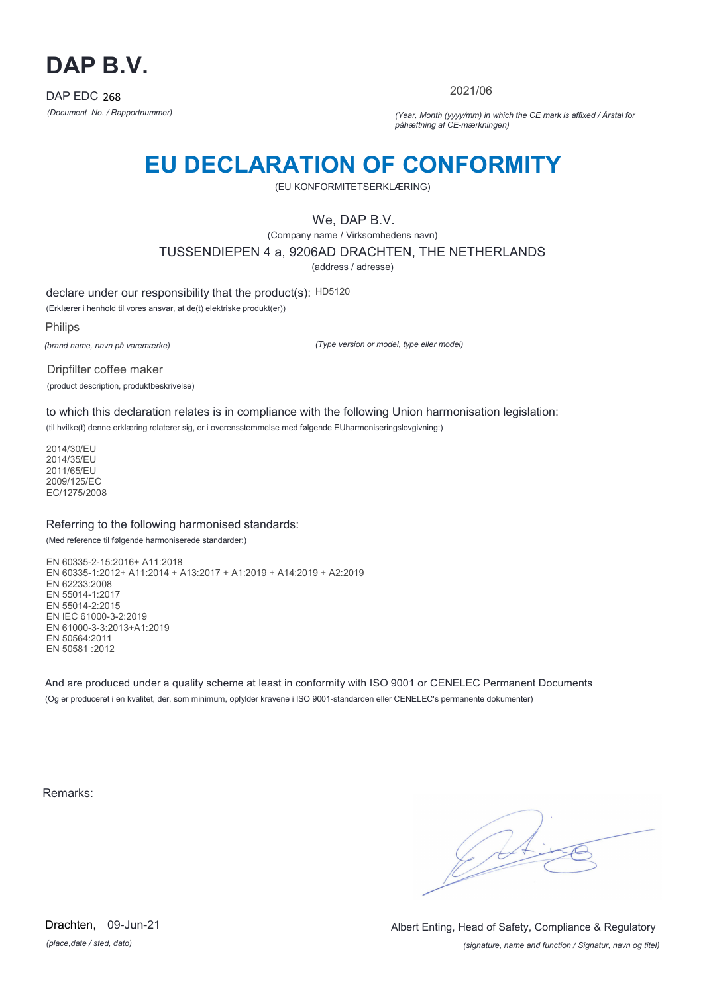

2021/06

*(Document No. / Rapportnummer) (Year, Month (yyyy/mm) in which the CE mark is affixed / Årstal for påhæftning af CE-mærkningen)*

## **EU DECLARATION OF CONFORMITY**

(EU KONFORMITETSERKLÆRING)

We, DAP B.V.

(Company name / Virksomhedens navn)

TUSSENDIEPEN 4 a, 9206AD DRACHTEN, THE NETHERLANDS

(address / adresse)

declare under our responsibility that the product(s): HD5120

(Erklærer i henhold til vores ansvar, at de(t) elektriske produkt(er))

Philips

*(brand name, navn på varemærke)*

*(Type version or model, type eller model)*

Dripfilter coffee maker (product description, produktbeskrivelse)

to which this declaration relates is in compliance with the following Union harmonisation legislation:

(til hvilke(t) denne erklæring relaterer sig, er i overensstemmelse med følgende EUharmoniseringslovgivning:)

2014/30/EU 2014/35/EU 2011/65/EU 2009/125/EC EC/1275/2008

### Referring to the following harmonised standards:

(Med reference til følgende harmoniserede standarder:)

EN 60335-2-15:2016+ A11:2018 EN 60335-1:2012+ A11:2014 + A13:2017 + A1:2019 + A14:2019 + A2:2019 EN 62233:2008 EN 55014-1:2017 EN 55014-2:2015 EN IEC 61000-3-2:2019 EN 61000-3-3:2013+A1:2019 EN 50564:2011 EN 50581 :2012

And are produced under a quality scheme at least in conformity with ISO 9001 or CENELEC Permanent Documents (Og er produceret i en kvalitet, der, som minimum, opfylder kravene i ISO 9001-standarden eller CENELEC's permanente dokumenter)

Remarks:

 $\sqrt{4}$ 

*(place,date / sted, dato)* Drachten, 09-Jun-21

*(signature, name and function / Signatur, navn og titel)* Albert Enting, Head of Safety, Compliance & Regulatory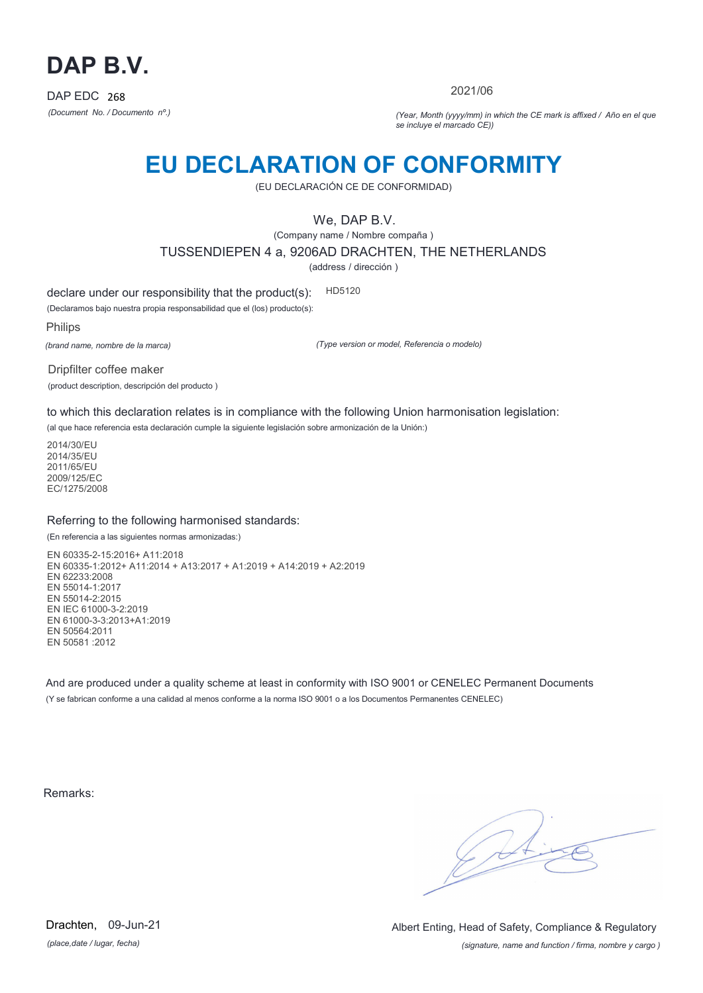

2021/06

*(Document No. / Documento nº.) (Year, Month (yyyy/mm) in which the CE mark is affixed / Año en el que se incluye el marcado CE))*

## **EU DECLARATION OF CONFORMITY**

(EU DECLARACIÓN CE DE CONFORMIDAD)

We, DAP B.V.

(Company name / Nombre compaña ) TUSSENDIEPEN 4 a, 9206AD DRACHTEN, THE NETHERLANDS

(address / dirección )

declare under our responsibility that the product(s): HD5120

(Declaramos bajo nuestra propia responsabilidad que el (los) producto(s):

Philips

*(brand name, nombre de la marca)*

*(Type version or model, Referencia o modelo)*

Dripfilter coffee maker (product description, descripción del producto )

to which this declaration relates is in compliance with the following Union harmonisation legislation:

(al que hace referencia esta declaración cumple la siguiente legislación sobre armonización de la Unión:)

2014/30/EU 2014/35/EU 2011/65/EU 2009/125/EC EC/1275/2008

### Referring to the following harmonised standards:

(En referencia a las siguientes normas armonizadas:)

EN 60335-2-15:2016+ A11:2018 EN 60335-1:2012+ A11:2014 + A13:2017 + A1:2019 + A14:2019 + A2:2019 EN 62233:2008 EN 55014-1:2017 EN 55014-2:2015 EN IEC 61000-3-2:2019 EN 61000-3-3:2013+A1:2019 EN 50564:2011 EN 50581 :2012

And are produced under a quality scheme at least in conformity with ISO 9001 or CENELEC Permanent Documents (Y se fabrican conforme a una calidad al menos conforme a la norma ISO 9001 o a los Documentos Permanentes CENELEC)

Remarks:

*(place,date / lugar, fecha)* Drachten, 09-Jun-21

*(signature, name and function / firma, nombre y cargo )* Albert Enting, Head of Safety, Compliance & Regulatory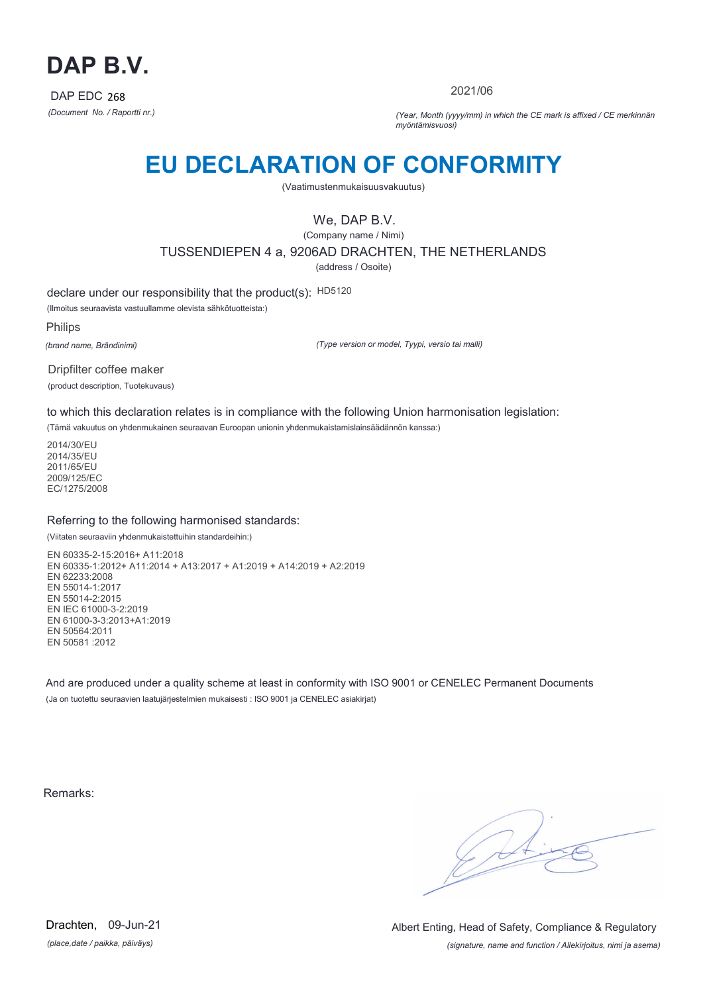

2021/06

*(Document No. / Raportti nr.) (Year, Month (yyyy/mm) in which the CE mark is affixed / CE merkinnän myöntämisvuosi)*

## **EU DECLARATION OF CONFORMITY**

(Vaatimustenmukaisuusvakuutus)

We, DAP B.V.

(Company name / Nimi) TUSSENDIEPEN 4 a, 9206AD DRACHTEN, THE NETHERLANDS (address / Osoite)

declare under our responsibility that the product(s): HD5120

(Ilmoitus seuraavista vastuullamme olevista sähkötuotteista:)

Philips

*(brand name, Brändinimi)*

*(Type version or model, Tyypi, versio tai malli)*

Dripfilter coffee maker (product description, Tuotekuvaus)

to which this declaration relates is in compliance with the following Union harmonisation legislation:

(Tämä vakuutus on yhdenmukainen seuraavan Euroopan unionin yhdenmukaistamislainsäädännön kanssa:)

2014/30/EU 2014/35/EU 2011/65/EU 2009/125/EC EC/1275/2008

### Referring to the following harmonised standards:

(Viitaten seuraaviin yhdenmukaistettuihin standardeihin:)

EN 60335-2-15:2016+ A11:2018 EN 60335-1:2012+ A11:2014 + A13:2017 + A1:2019 + A14:2019 + A2:2019 EN 62233:2008 EN 55014-1:2017 EN 55014-2:2015 EN IEC 61000-3-2:2019 EN 61000-3-3:2013+A1:2019 EN 50564:2011 EN 50581 :2012

And are produced under a quality scheme at least in conformity with ISO 9001 or CENELEC Permanent Documents (Ja on tuotettu seuraavien laatujärjestelmien mukaisesti : ISO 9001 ja CENELEC asiakirjat)

Remarks:

 $\sqrt{4}$ 

*(place,date / paikka, päiväys)* Drachten, 09-Jun-21

*(signature, name and function / Allekirjoitus, nimi ja asema)* Albert Enting, Head of Safety, Compliance & Regulatory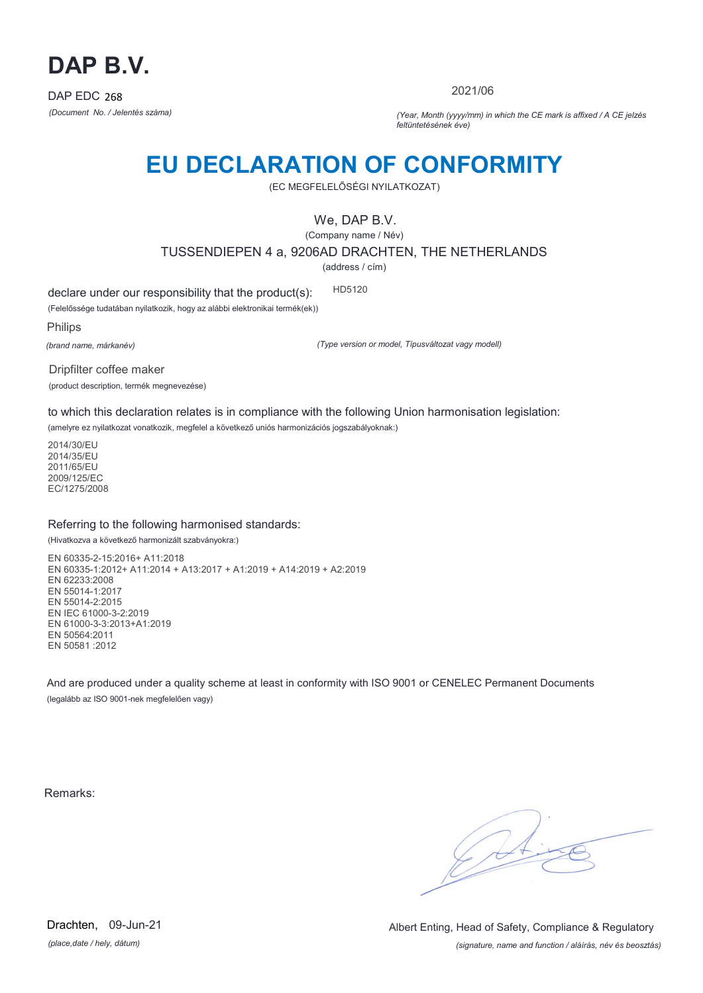

2021/06

*(Document No. / Jelentés száma) (Year, Month (yyyy/mm) in which the CE mark is affixed / A CE jelzés feltüntetésének éve)*

## **EU DECLARATION OF CONFORMITY**

(EC MEGFELELŐSÉGI NYILATKOZAT)

We, DAP B.V.

(Company name / Név) TUSSENDIEPEN 4 a, 9206AD DRACHTEN, THE NETHERLANDS

(address / cím)

declare under our responsibility that the product(s): HD5120

(Felelőssége tudatában nyilatkozik, hogy az alábbi elektronikai termék(ek))

Philips

*(brand name, márkanév)*

*(Type version or model, Típusváltozat vagy modell)*

Dripfilter coffee maker (product description, termék megnevezése)

to which this declaration relates is in compliance with the following Union harmonisation legislation:

(amelyre ez nyilatkozat vonatkozik, megfelel a következő uniós harmonizációs jogszabályoknak:)

2014/30/EU 2014/35/EU 2011/65/EU 2009/125/EC EC/1275/2008

### Referring to the following harmonised standards:

(Hivatkozva a következő harmonizált szabványokra:)

EN 60335-2-15:2016+ A11:2018 EN 60335-1:2012+ A11:2014 + A13:2017 + A1:2019 + A14:2019 + A2:2019 EN 62233:2008 EN 55014-1:2017 EN 55014-2:2015 EN IEC 61000-3-2:2019 EN 61000-3-3:2013+A1:2019 EN 50564:2011 EN 50581 :2012

And are produced under a quality scheme at least in conformity with ISO 9001 or CENELEC Permanent Documents (legalább az ISO 9001-nek megfelelően vagy)

Remarks:

 $\sqrt{11}$ 

*(place,date / hely, dátum)* Drachten, 09-Jun-21

*(signature, name and function / aláírás, név és beosztás)* Albert Enting, Head of Safety, Compliance & Regulatory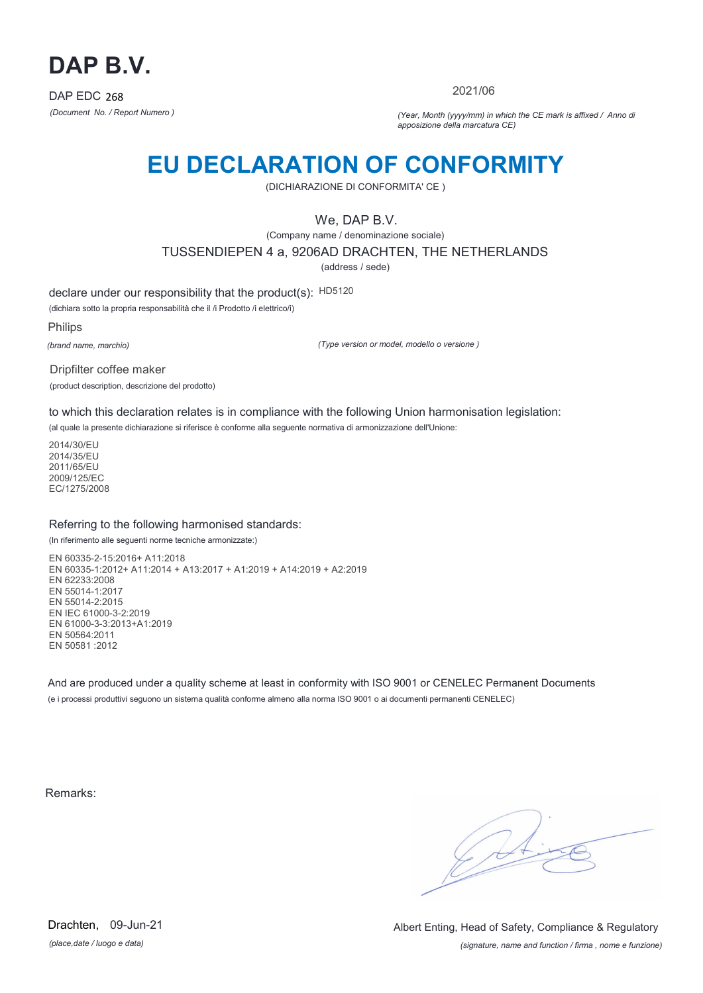

2021/06

*(Document No. / Report Numero ) (Year, Month (yyyy/mm) in which the CE mark is affixed / Anno di apposizione della marcatura CE)*

## **EU DECLARATION OF CONFORMITY**

(DICHIARAZIONE DI CONFORMITA' CE )

We, DAP B.V.

(Company name / denominazione sociale)

TUSSENDIEPEN 4 a, 9206AD DRACHTEN, THE NETHERLANDS

(address / sede)

declare under our responsibility that the product(s): HD5120

(dichiara sotto la propria responsabilità che il /i Prodotto /i elettrico/i)

Philips

*(brand name, marchio)*

*(Type version or model, modello o versione )*

Dripfilter coffee maker (product description, descrizione del prodotto)

to which this declaration relates is in compliance with the following Union harmonisation legislation:

(al quale la presente dichiarazione si riferisce è conforme alla seguente normativa di armonizzazione dell'Unione:

2014/30/EU 2014/35/EU 2011/65/EU 2009/125/EC EC/1275/2008

### Referring to the following harmonised standards:

(In riferimento alle seguenti norme tecniche armonizzate:)

EN 60335-2-15:2016+ A11:2018 EN 60335-1:2012+ A11:2014 + A13:2017 + A1:2019 + A14:2019 + A2:2019 EN 62233:2008 EN 55014-1:2017 EN 55014-2:2015 EN IEC 61000-3-2:2019 EN 61000-3-3:2013+A1:2019 EN 50564:2011 EN 50581 :2012

And are produced under a quality scheme at least in conformity with ISO 9001 or CENELEC Permanent Documents (e i processi produttivi seguono un sistema qualità conforme almeno alla norma ISO 9001 o ai documenti permanenti CENELEC)

Remarks:

 $\sqrt{11}$ 

*(place,date / luogo e data)* Drachten, 09-Jun-21

*(signature, name and function / firma , nome e funzione)* Albert Enting, Head of Safety, Compliance & Regulatory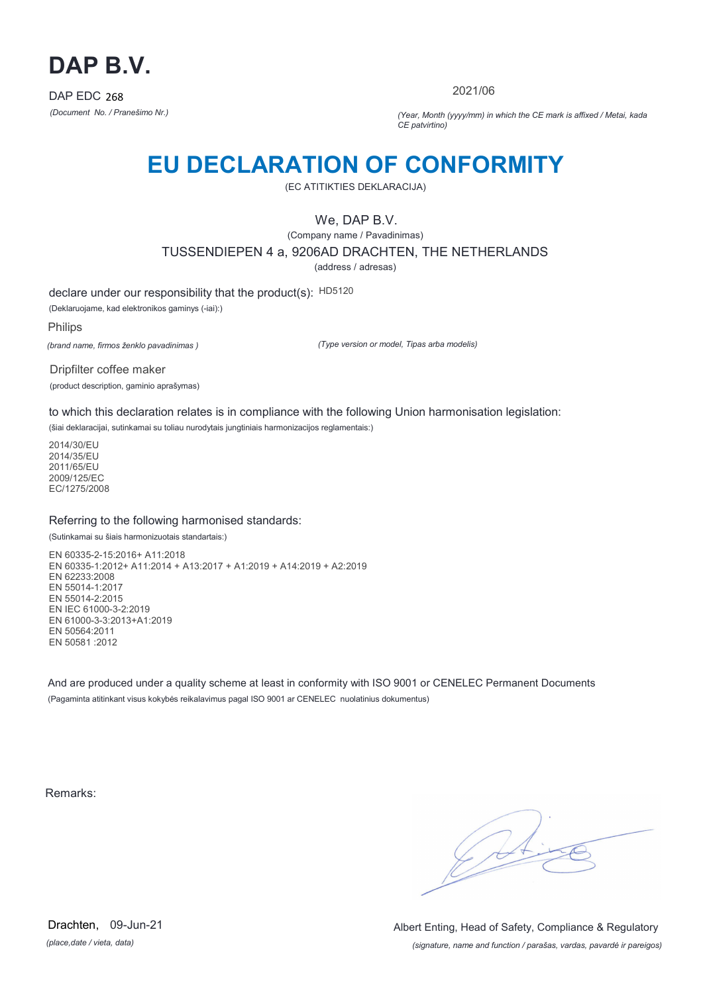

2021/06

*(Document No. / Pranešimo Nr.) (Year, Month (yyyy/mm) in which the CE mark is affixed / Metai, kada CE patvirtino)*

## **EU DECLARATION OF CONFORMITY**

(EC ATITIKTIES DEKLARACIJA)

We, DAP B.V.

(Company name / Pavadinimas) TUSSENDIEPEN 4 a, 9206AD DRACHTEN, THE NETHERLANDS

(address / adresas)

declare under our responsibility that the product(s): HD5120

(Deklaruojame, kad elektronikos gaminys (-iai):)

Philips

*(brand name, firmos ženklo pavadinimas )*

*(Type version or model, Tipas arba modelis)*

Dripfilter coffee maker (product description, gaminio aprašymas)

to which this declaration relates is in compliance with the following Union harmonisation legislation:

(šiai deklaracijai, sutinkamai su toliau nurodytais jungtiniais harmonizacijos reglamentais:)

2014/30/EU 2014/35/EU 2011/65/EU 2009/125/EC EC/1275/2008

### Referring to the following harmonised standards:

(Sutinkamai su šiais harmonizuotais standartais:)

EN 60335-2-15:2016+ A11:2018 EN 60335-1:2012+ A11:2014 + A13:2017 + A1:2019 + A14:2019 + A2:2019 EN 62233:2008 EN 55014-1:2017 EN 55014-2:2015 EN IEC 61000-3-2:2019 EN 61000-3-3:2013+A1:2019 EN 50564:2011 EN 50581 :2012

And are produced under a quality scheme at least in conformity with ISO 9001 or CENELEC Permanent Documents (Pagaminta atitinkant visus kokybės reikalavimus pagal ISO 9001 ar CENELEC nuolatinius dokumentus)

Remarks:

 $\sqrt{4}$ 

*(place,date / vieta, data)* Drachten, 09-Jun-21

*(signature, name and function / parašas, vardas, pavardė ir pareigos)* Albert Enting, Head of Safety, Compliance & Regulatory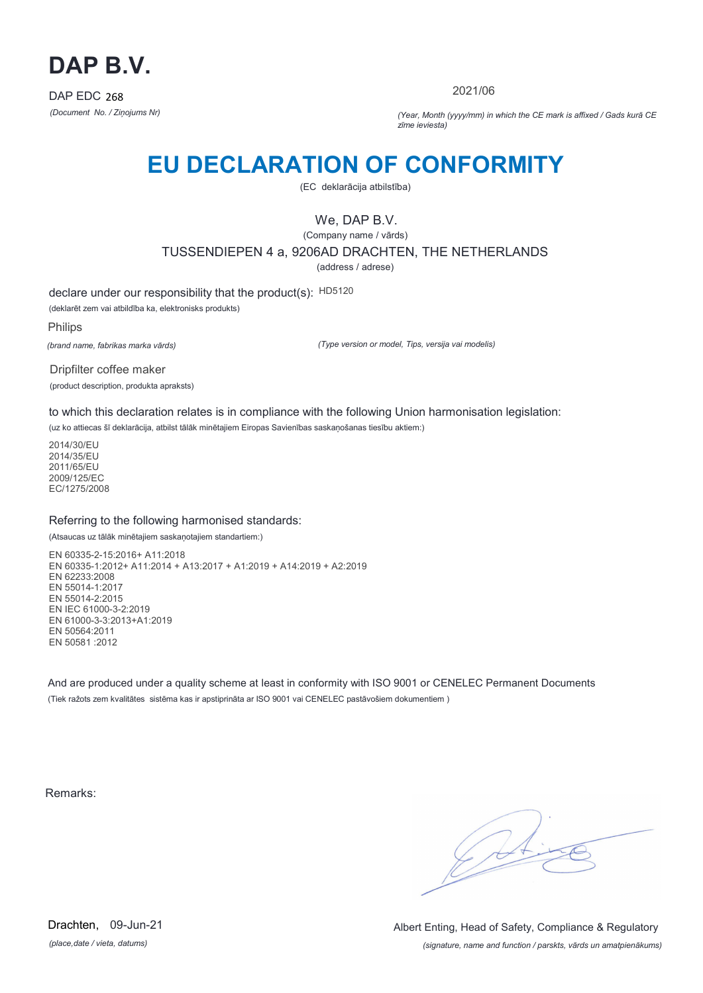

2021/06

*(Document No. / Ziņojums Nr) (Year, Month (yyyy/mm) in which the CE mark is affixed / Gads kurā CE zīme ieviesta)*

## **EU DECLARATION OF CONFORMITY**

(EC deklarācija atbilstība)

We, DAP B.V.

(Company name / vārds) TUSSENDIEPEN 4 a, 9206AD DRACHTEN, THE NETHERLANDS

(address / adrese)

declare under our responsibility that the product(s): HD5120

(deklarēt zem vai atbildība ka, elektronisks produkts)

Philips

*(brand name, fabrikas marka vārds)*

*(Type version or model, Tips, versija vai modelis)*

Dripfilter coffee maker (product description, produkta apraksts)

to which this declaration relates is in compliance with the following Union harmonisation legislation:

(uz ko attiecas šī deklarācija, atbilst tālāk minētajiem Eiropas Savienības saskaņošanas tiesību aktiem:)

2014/30/EU 2014/35/EU 2011/65/EU 2009/125/EC EC/1275/2008

### Referring to the following harmonised standards:

(Atsaucas uz tālāk minētajiem saskaņotajiem standartiem:)

EN 60335-2-15:2016+ A11:2018 EN 60335-1:2012+ A11:2014 + A13:2017 + A1:2019 + A14:2019 + A2:2019 EN 62233:2008 EN 55014-1:2017 EN 55014-2:2015 EN IEC 61000-3-2:2019 EN 61000-3-3:2013+A1:2019 EN 50564:2011 EN 50581 :2012

And are produced under a quality scheme at least in conformity with ISO 9001 or CENELEC Permanent Documents (Tiek ražots zem kvalitātes sistēma kas ir apstiprināta ar ISO 9001 vai CENELEC pastāvošiem dokumentiem )

Remarks:

 $\sqrt{11}$ 

*(place,date / vieta, datums)* Drachten, 09-Jun-21

*(signature, name and function / parskts, vārds un amatpienākums)* Albert Enting, Head of Safety, Compliance & Regulatory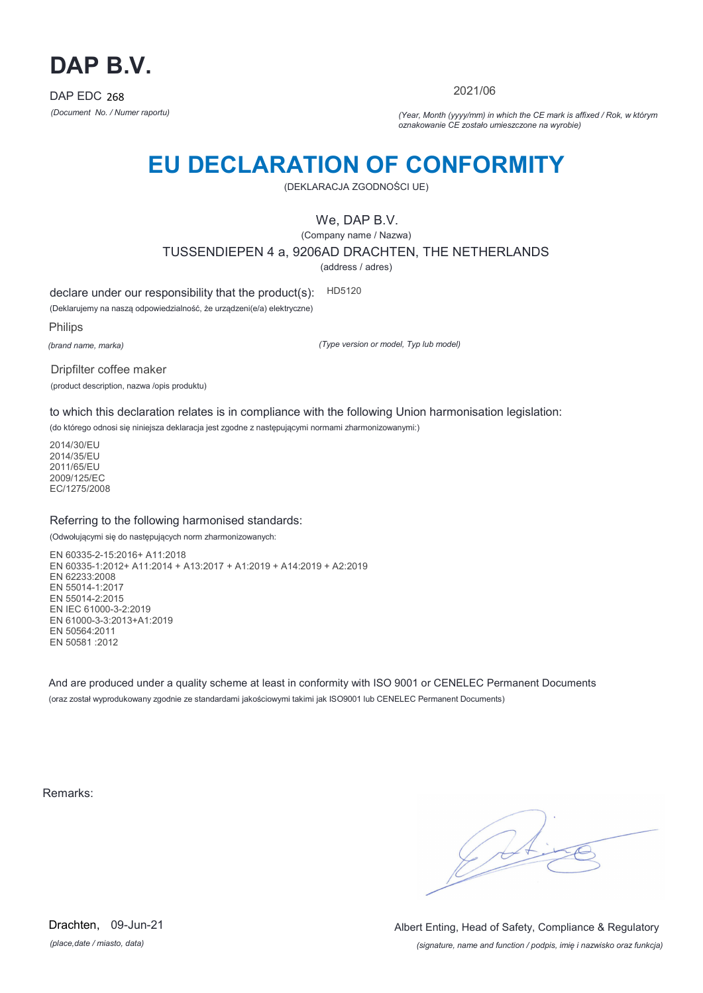

2021/06

*(Document No. / Numer raportu) (Year, Month (yyyy/mm) in which the CE mark is affixed / Rok, w którym oznakowanie CE zostało umieszczone na wyrobie)*

# **EU DECLARATION OF CONFORMITY**

(DEKLARACJA ZGODNOŚCI UE)

We, DAP B.V.

(Company name / Nazwa) TUSSENDIEPEN 4 a, 9206AD DRACHTEN, THE NETHERLANDS

(address / adres)

declare under our responsibility that the product(s): HD5120

(Deklarujemy na naszą odpowiedzialność, że urządzeni(e/a) elektryczne)

Philips

*(brand name, marka)*

*(Type version or model, Typ lub model)*

Dripfilter coffee maker

(product description, nazwa /opis produktu)

to which this declaration relates is in compliance with the following Union harmonisation legislation:

(do którego odnosi się niniejsza deklaracja jest zgodne z następującymi normami zharmonizowanymi:)

2014/30/EU 2014/35/EU 2011/65/EU 2009/125/EC EC/1275/2008

### Referring to the following harmonised standards:

(Odwołującymi się do następujących norm zharmonizowanych:

EN 60335-2-15:2016+ A11:2018 EN 60335-1:2012+ A11:2014 + A13:2017 + A1:2019 + A14:2019 + A2:2019 EN 62233:2008 EN 55014-1:2017 EN 55014-2:2015 EN IEC 61000-3-2:2019 EN 61000-3-3:2013+A1:2019 EN 50564:2011 EN 50581 :2012

And are produced under a quality scheme at least in conformity with ISO 9001 or CENELEC Permanent Documents (oraz został wyprodukowany zgodnie ze standardami jakościowymi takimi jak ISO9001 lub CENELEC Permanent Documents)

Remarks:

 $\sqrt{11}$ 

*(place,date / miasto, data)* Drachten, 09-Jun-21

*(signature, name and function / podpis, imię i nazwisko oraz funkcja)* Albert Enting, Head of Safety, Compliance & Regulatory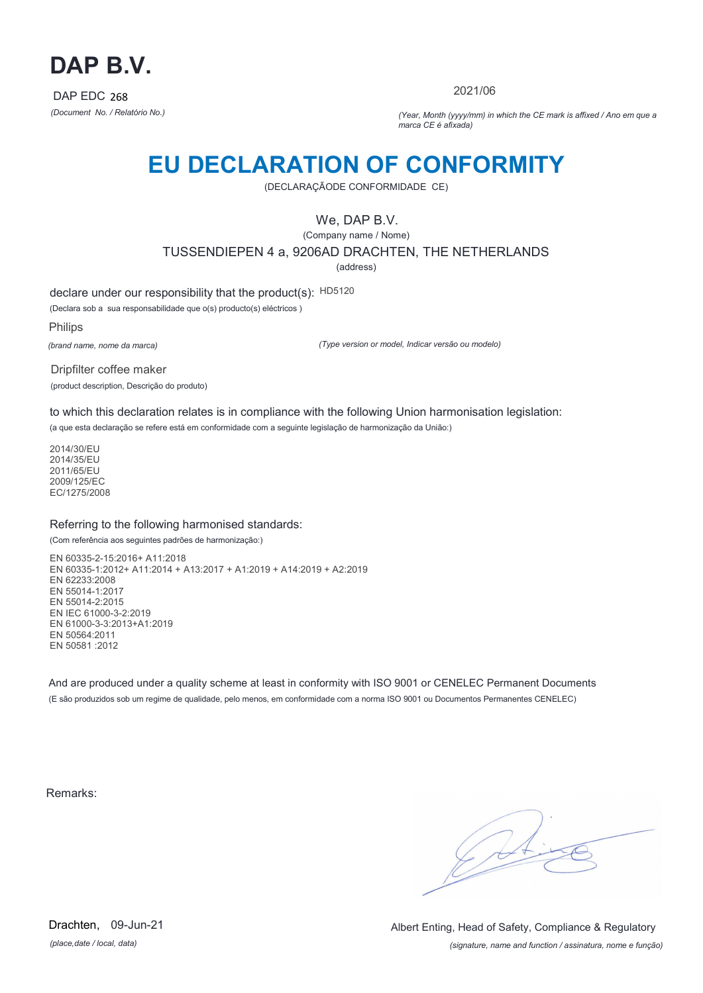

2021/06

*(Document No. / Relatório No.) (Year, Month (yyyy/mm) in which the CE mark is affixed / Ano em que a marca CE é afixada)*

### **EU DECLARATION OF CONFORMITY**

(DECLARAÇÃODE CONFORMIDADE CE)

We, DAP B.V.

(Company name / Nome) TUSSENDIEPEN 4 a, 9206AD DRACHTEN, THE NETHERLANDS (address)

declare under our responsibility that the product(s): HD5120

(Declara sob a sua responsabilidade que o(s) producto(s) eléctricos )

Philips

*(brand name, nome da marca)*

*(Type version or model, Indicar versão ou modelo)*

Dripfilter coffee maker (product description, Descrição do produto)

to which this declaration relates is in compliance with the following Union harmonisation legislation:

(a que esta declaração se refere está em conformidade com a seguinte legislação de harmonização da União:)

2014/30/EU 2014/35/EU 2011/65/EU 2009/125/EC EC/1275/2008

### Referring to the following harmonised standards:

(Com referência aos seguintes padrões de harmonização:)

EN 60335-2-15:2016+ A11:2018 EN 60335-1:2012+ A11:2014 + A13:2017 + A1:2019 + A14:2019 + A2:2019 EN 62233:2008 EN 55014-1:2017 EN 55014-2:2015 EN IEC 61000-3-2:2019 EN 61000-3-3:2013+A1:2019 EN 50564:2011 EN 50581 :2012

And are produced under a quality scheme at least in conformity with ISO 9001 or CENELEC Permanent Documents (E são produzidos sob um regime de qualidade, pelo menos, em conformidade com a norma ISO 9001 ou Documentos Permanentes CENELEC)

Remarks:

 $\sqrt{4}$ 

*(place,date / local, data)* Drachten, 09-Jun-21

*(signature, name and function / assinatura, nome e função)* Albert Enting, Head of Safety, Compliance & Regulatory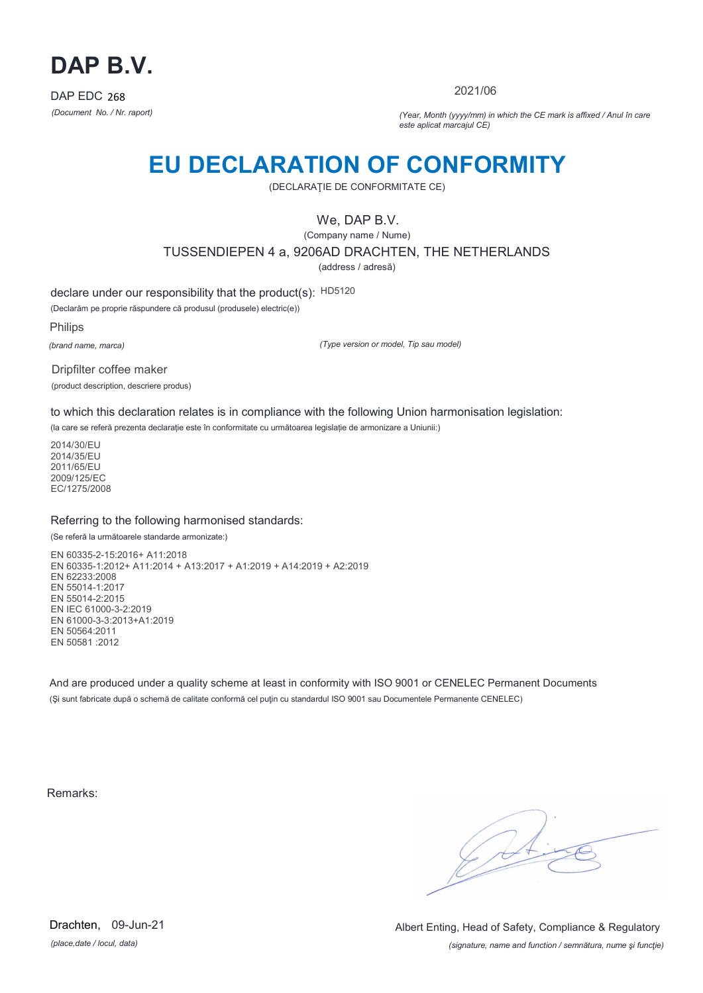

2021/06

*(Document No. / Nr. raport) (Year, Month (yyyy/mm) in which the CE mark is affixed / Anul în care este aplicat marcajul CE)*

## **EU DECLARATION OF CONFORMITY**

(DECLARAŢIE DE CONFORMITATE CE)

We, DAP B.V.

(Company name / Nume) TUSSENDIEPEN 4 a, 9206AD DRACHTEN, THE NETHERLANDS

(address / adresă)

declare under our responsibility that the product(s): HD5120

(Declarăm pe proprie răspundere că produsul (produsele) electric(e))

Philips

*(brand name, marca)*

*(Type version or model, Tip sau model)*

Dripfilter coffee maker (product description, descriere produs)

to which this declaration relates is in compliance with the following Union harmonisation legislation:

(la care se referă prezenta declarație este în conformitate cu următoarea legislație de armonizare a Uniunii:)

2014/30/EU 2014/35/EU 2011/65/EU 2009/125/EC EC/1275/2008

### Referring to the following harmonised standards:

(Se referă la următoarele standarde armonizate:)

EN 60335-2-15:2016+ A11:2018 EN 60335-1:2012+ A11:2014 + A13:2017 + A1:2019 + A14:2019 + A2:2019 EN 62233:2008 EN 55014-1:2017 EN 55014-2:2015 EN IEC 61000-3-2:2019 EN 61000-3-3:2013+A1:2019 EN 50564:2011 EN 50581 :2012

And are produced under a quality scheme at least in conformity with ISO 9001 or CENELEC Permanent Documents (Şi sunt fabricate după o schemă de calitate conformă cel puţin cu standardul ISO 9001 sau Documentele Permanente CENELEC)

Remarks:

*(place,date / locul, data)* Drachten, 09-Jun-21

*(signature, name and function / semnătura, nume şi funcţie)* Albert Enting, Head of Safety, Compliance & Regulatory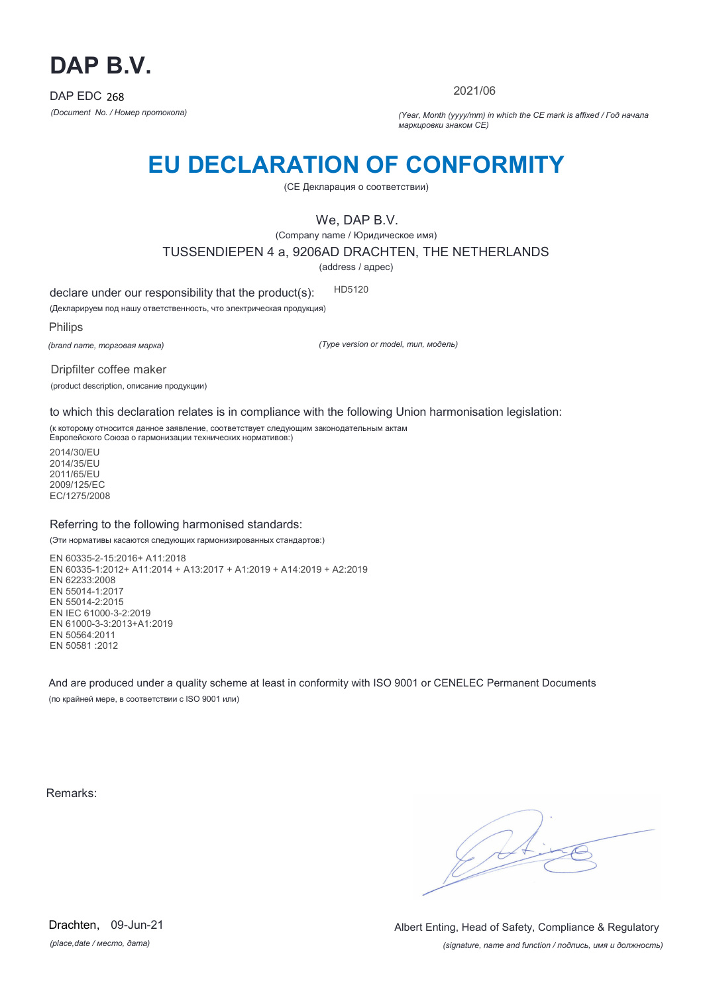

2021/06

*(Document No. / Номер протокола) (Year, Month (yyyy/mm) in which the CE mark is affixed / Год начала маркировки знаком CE)*

## **EU DECLARATION OF CONFORMITY**

(CE Декларация о соответствии)

We, DAP B.V.

(Company name / Юридическое имя)

TUSSENDIEPEN 4 a, 9206AD DRACHTEN, THE NETHERLANDS

(address / адрес)

declare under our responsibility that the product(s): HD5120

(Декларируем под нашу ответственность, что электрическая продукция)

Philips

*(brand name, торговая марка)*

*(Type version or model, тип, модель)*

Dripfilter coffee maker

(product description, описание продукции)

to which this declaration relates is in compliance with the following Union harmonisation legislation:

(к которому относится данное заявление, соответствует следующим законодательным актам Европейского Союза о гармонизации технических нормативов:)

2014/30/EU 2014/35/EU 2011/65/EU 2009/125/EC EC/1275/2008

#### Referring to the following harmonised standards:

(Эти нормативы касаются следующих гармонизированных стандартов:)

EN 60335-2-15:2016+ A11:2018 EN 60335-1:2012+ A11:2014 + A13:2017 + A1:2019 + A14:2019 + A2:2019 EN 62233:2008 EN 55014-1:2017 EN 55014-2:2015 EN IEC 61000-3-2:2019 EN 61000-3-3:2013+A1:2019 EN 50564:2011 EN 50581 :2012

And are produced under a quality scheme at least in conformity with ISO 9001 or CENELEC Permanent Documents (по крайней мере, в соответствии с ISO 9001 или)

Remarks:

 $\sqrt{11}$ 

*(place,date / место, дата)* Drachten, 09-Jun-21

*(signature, name and function / подпись, имя и должность)* Albert Enting, Head of Safety, Compliance & Regulatory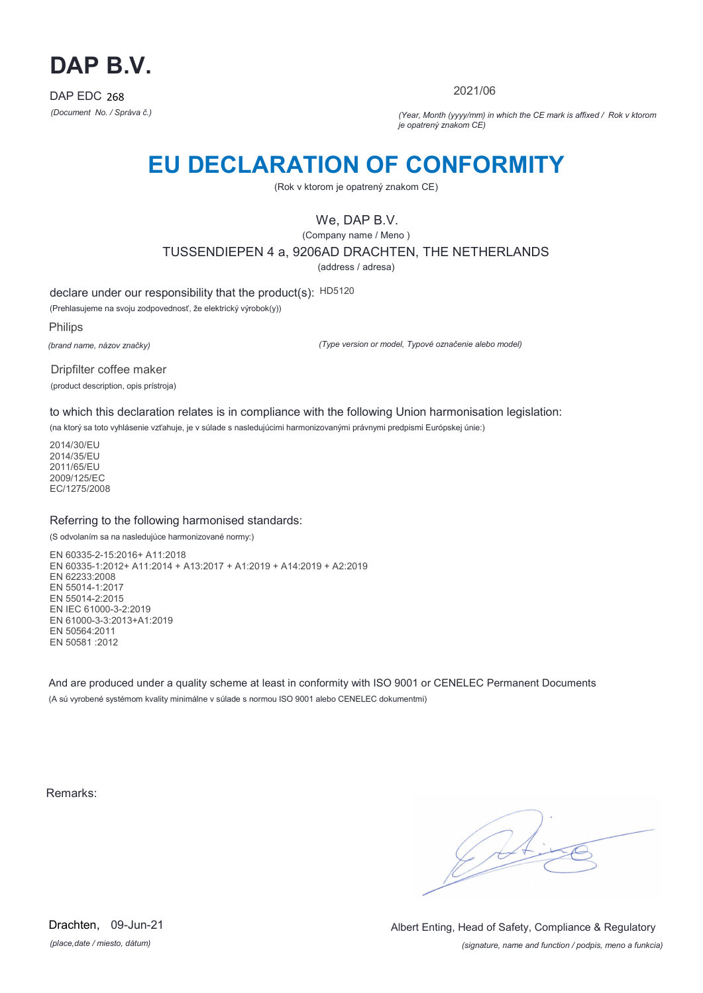

2021/06

*(Document No. / Správa č.) (Year, Month (yyyy/mm) in which the CE mark is affixed / Rok v ktorom je opatrený znakom CE)*

## **EU DECLARATION OF CONFORMITY**

(Rok v ktorom je opatrený znakom CE)

### We, DAP B.V.

(Company name / Meno ) TUSSENDIEPEN 4 a, 9206AD DRACHTEN, THE NETHERLANDS

(address / adresa)

declare under our responsibility that the product(s): HD5120

(Prehlasujeme na svoju zodpovednosť, že elektrický výrobok(y))

Philips

*(brand name, názov značky)*

*(Type version or model, Typové označenie alebo model)*

Dripfilter coffee maker (product description, opis prístroja)

to which this declaration relates is in compliance with the following Union harmonisation legislation:

(na ktorý sa toto vyhlásenie vzťahuje, je v súlade s nasledujúcimi harmonizovanými právnymi predpismi Európskej únie:)

2014/30/EU 2014/35/EU 2011/65/EU 2009/125/EC EC/1275/2008

### Referring to the following harmonised standards:

(S odvolaním sa na nasledujúce harmonizované normy:)

EN 60335-2-15:2016+ A11:2018 EN 60335-1:2012+ A11:2014 + A13:2017 + A1:2019 + A14:2019 + A2:2019 EN 62233:2008 EN 55014-1:2017 EN 55014-2:2015 EN IEC 61000-3-2:2019 EN 61000-3-3:2013+A1:2019 EN 50564:2011 EN 50581 :2012

And are produced under a quality scheme at least in conformity with ISO 9001 or CENELEC Permanent Documents (A sú vyrobené systémom kvality minimálne v súlade s normou ISO 9001 alebo CENELEC dokumentmi)

Remarks:

 $\sqrt{4}$ 

*(place,date / miesto, dátum)* Drachten, 09-Jun-21

*(signature, name and function / podpis, meno a funkcia)* Albert Enting, Head of Safety, Compliance & Regulatory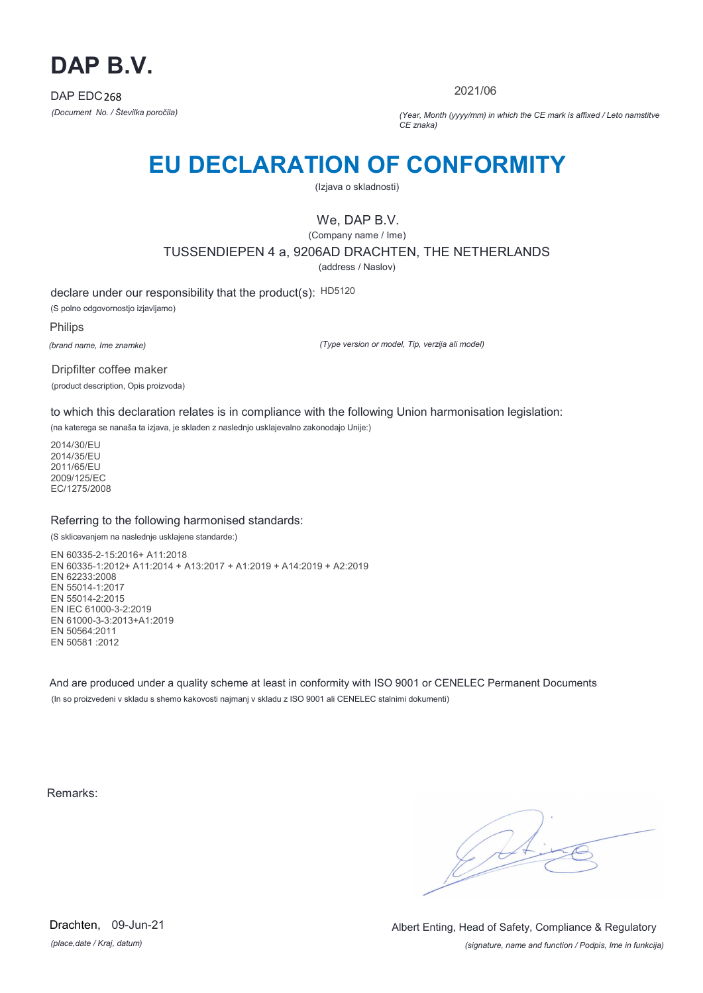

2021/06

*(Document No. / Številka poročila) (Year, Month (yyyy/mm) in which the CE mark is affixed / Leto namstitve CE znaka)*

## **EU DECLARATION OF CONFORMITY**

(Izjava o skladnosti)

### We, DAP B.V.

(Company name / Ime) TUSSENDIEPEN 4 a, 9206AD DRACHTEN, THE NETHERLANDS

(address / Naslov)

declare under our responsibility that the product(s): HD5120 (S polno odgovornostjo izjavljamo)

Philips

*(brand name, Ime znamke)*

*(Type version or model, Tip, verzija ali model)*

Dripfilter coffee maker (product description, Opis proizvoda)

to which this declaration relates is in compliance with the following Union harmonisation legislation:

(na katerega se nanaša ta izjava, je skladen z naslednjo usklajevalno zakonodajo Unije:)

2014/30/EU 2014/35/EU 2011/65/EU 2009/125/EC EC/1275/2008

### Referring to the following harmonised standards:

(S sklicevanjem na naslednje usklajene standarde:)

EN 60335-2-15:2016+ A11:2018 EN 60335-1:2012+ A11:2014 + A13:2017 + A1:2019 + A14:2019 + A2:2019 EN 62233:2008 EN 55014-1:2017 EN 55014-2:2015 EN IEC 61000-3-2:2019 EN 61000-3-3:2013+A1:2019 EN 50564:2011 EN 50581 :2012

And are produced under a quality scheme at least in conformity with ISO 9001 or CENELEC Permanent Documents (In so proizvedeni v skladu s shemo kakovosti najmanj v skladu z ISO 9001 ali CENELEC stalnimi dokumenti)

Remarks:

 $\sqrt{4}$ 

*(place,date / Kraj, datum)* Drachten, 09-Jun-21

*(signature, name and function / Podpis, Ime in funkcija)* Albert Enting, Head of Safety, Compliance & Regulatory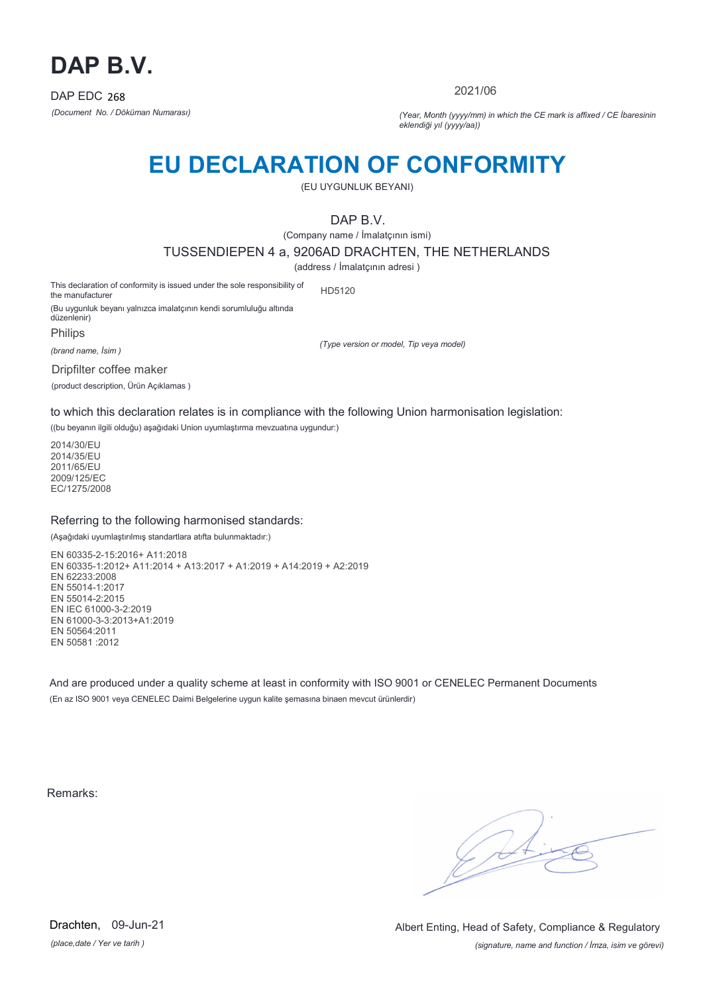

2021/06

*(Document No. / Döküman Numarası) (Year, Month (yyyy/mm) in which the CE mark is affixed / CE İbaresinin eklendiği yıl (yyyy/aa))*

## **EU DECLARATION OF CONFORMITY**

(EU UYGUNLUK BEYANI)

DAP B.V.

(Company name / İmalatçının ismi)

TUSSENDIEPEN 4 a, 9206AD DRACHTEN, THE NETHERLANDS

(address / İmalatçının adresi )

This declaration of conformity is issued under the sole responsibility of the manufacturer HD5120

(Bu uygunluk beyanı yalnızca imalatçının kendi sorumluluğu altında düzenlenir)

Philips

*(brand name, İsim )*

Dripfilter coffee maker

(product description, Ürün Açıklamas )

*(Type version or model, Tip veya model)*

to which this declaration relates is in compliance with the following Union harmonisation legislation:

((bu beyanın ilgili olduğu) aşağıdaki Union uyumlaştırma mevzuatına uygundur:)

2014/30/EU 2014/35/EU 2011/65/EU 2009/125/EC EC/1275/2008

### Referring to the following harmonised standards:

(Aşağıdaki uyumlaştırılmış standartlara atıfta bulunmaktadır:)

EN 60335-2-15:2016+ A11:2018 EN 60335-1:2012+ A11:2014 + A13:2017 + A1:2019 + A14:2019 + A2:2019 EN 62233:2008 EN 55014-1:2017 EN 55014-2:2015 EN IEC 61000-3-2:2019 EN 61000-3-3:2013+A1:2019 EN 50564:2011 EN 50581 :2012

And are produced under a quality scheme at least in conformity with ISO 9001 or CENELEC Permanent Documents (En az ISO 9001 veya CENELEC Daimi Belgelerine uygun kalite şemasına binaen mevcut ürünlerdir)

Remarks:

*(place,date / Yer ve tarih )* Drachten, 09-Jun-21

*(signature, name and function / İmza, isim ve görevi)* Albert Enting, Head of Safety, Compliance & Regulatory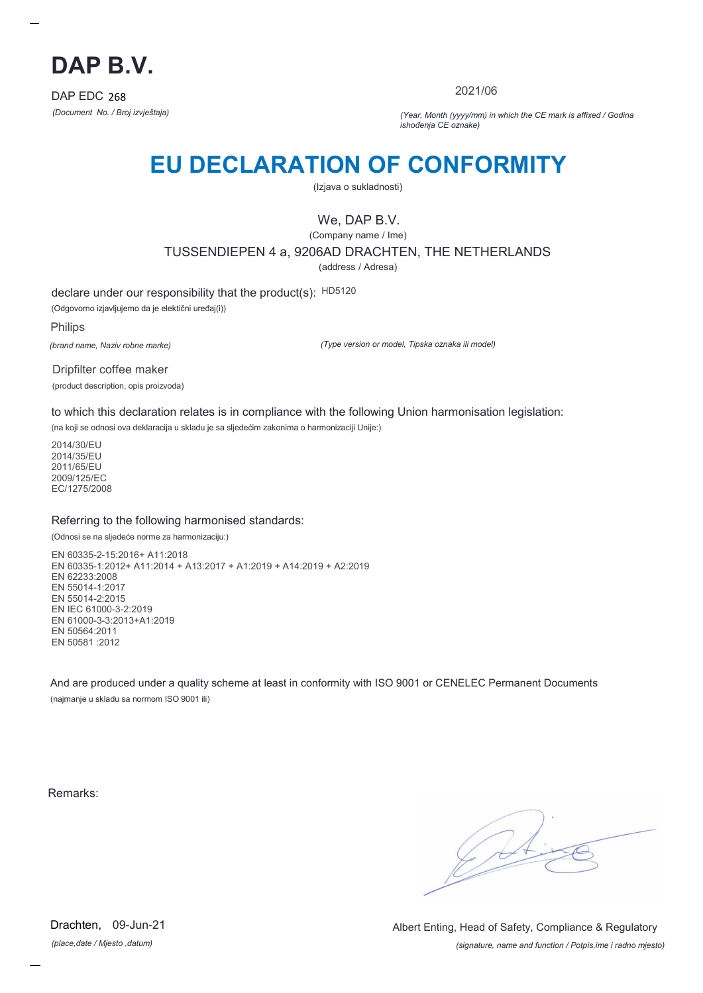

2021/06

*(Document No. / Broj izvještaja) (Year, Month (yyyy/mm) in which the CE mark is affixed / Godina ishođenja CE oznake)*

## **EU DECLARATION OF CONFORMITY**

(Izjava o sukladnosti)

We, DAP B.V.

(Company name / Ime) TUSSENDIEPEN 4 a, 9206AD DRACHTEN, THE NETHERLANDS (address / Adresa)

declare under our responsibility that the product(s): HD5120

(Odgovorno izjavljujemo da je elektični uređaj(i))

Philips

*(brand name, Naziv robne marke)*

*(Type version or model, Tipska oznaka ili model)*

Dripfilter coffee maker (product description, opis proizvoda)

to which this declaration relates is in compliance with the following Union harmonisation legislation:

(na koji se odnosi ova deklaracija u skladu je sa sljedećim zakonima o harmonizaciji Unije:)

2014/30/EU 2014/35/EU 2011/65/EU 2009/125/EC EC/1275/2008

### Referring to the following harmonised standards:

(Odnosi se na sljedeće norme za harmonizaciju:)

EN 60335-2-15:2016+ A11:2018 EN 60335-1:2012+ A11:2014 + A13:2017 + A1:2019 + A14:2019 + A2:2019 EN 62233:2008 EN 55014-1:2017 EN 55014-2:2015 EN IEC 61000-3-2:2019 EN 61000-3-3:2013+A1:2019 EN 50564:2011 EN 50581 :2012

And are produced under a quality scheme at least in conformity with ISO 9001 or CENELEC Permanent Documents (najmanje u skladu sa normom ISO 9001 ili)

Remarks:

*(place,date / Mjesto ,datum)* Drachten, 09-Jun-21

*(signature, name and function / Potpis,ime i radno mjesto)* Albert Enting, Head of Safety, Compliance & Regulatory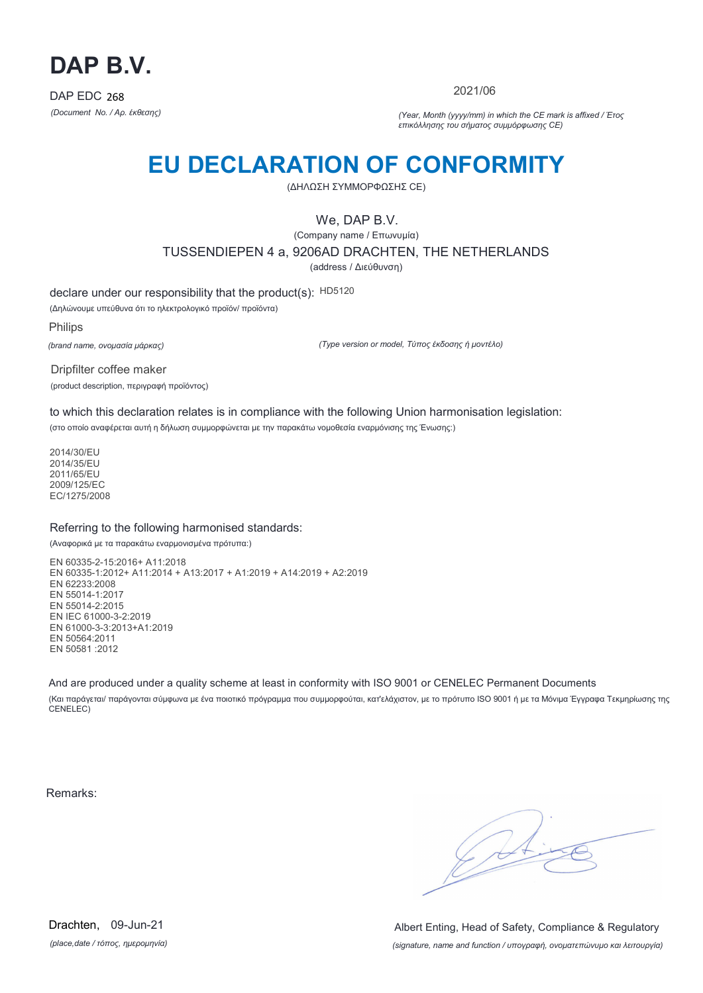

2021/06

*(Document No. / Αρ. έκθεσης) (Year, Month (yyyy/mm) in which the CE mark is affixed / Έτος επικόλλησης του σήματος συμμόρφωσης CE)*

## **EU DECLARATION OF CONFORMITY**

(ΔΗΛΩΣΗ ΣΥΜΜΟΡΦΩΣΗΣ CE)

We, DAP B.V.

(Company name / Επωνυμία) TUSSENDIEPEN 4 a, 9206AD DRACHTEN, THE NETHERLANDS (address / Διεύθυνση)

declare under our responsibility that the product(s): HD5120

(Δηλώνουμε υπεύθυνα ότι το ηλεκτρολογικό προϊόν/ προϊόντα)

Philips

*(brand name, ονομασία μάρκας)*

*(Type version or model, Τύπος έκδοσης ή μοντέλο)*

Dripfilter coffee maker (product description, περιγραφή προϊόντος)

to which this declaration relates is in compliance with the following Union harmonisation legislation: (στο οποίο αναφέρεται αυτή η δήλωση συμμορφώνεται με την παρακάτω νομοθεσία εναρμόνισης της Ένωσης:)

2014/30/EU 2014/35/EU 2011/65/EU 2009/125/EC EC/1275/2008

### Referring to the following harmonised standards:

(Αναφορικά με τα παρακάτω εναρμονισμένα πρότυπα:)

EN 60335-2-15:2016+ A11:2018 EN 60335-1:2012+ A11:2014 + A13:2017 + A1:2019 + A14:2019 + A2:2019 EN 62233:2008 EN 55014-1:2017 EN 55014-2:2015 EN IEC 61000-3-2:2019 EN 61000-3-3:2013+A1:2019 EN 50564:2011 EN 50581 :2012

And are produced under a quality scheme at least in conformity with ISO 9001 or CENELEC Permanent Documents

(Και παράγεται/ παράγονται σύμφωνα με ένα ποιοτικό πρόγραμμα που συμμορφούται, κατ'ελάχιστον, με το πρότυπο ISO 9001 ή με τα Μόνιμα Έγγραφα Τεκμηρίωσης της CENELEC)

Remarks:

 $\sqrt{4}$ 

*(place,date / τόπος, ημερομηνία)* Drachten, 09-Jun-21

*(signature, name and function / υπογραφή, ονοματεπώνυμο και λειτουργία)* Albert Enting, Head of Safety, Compliance & Regulatory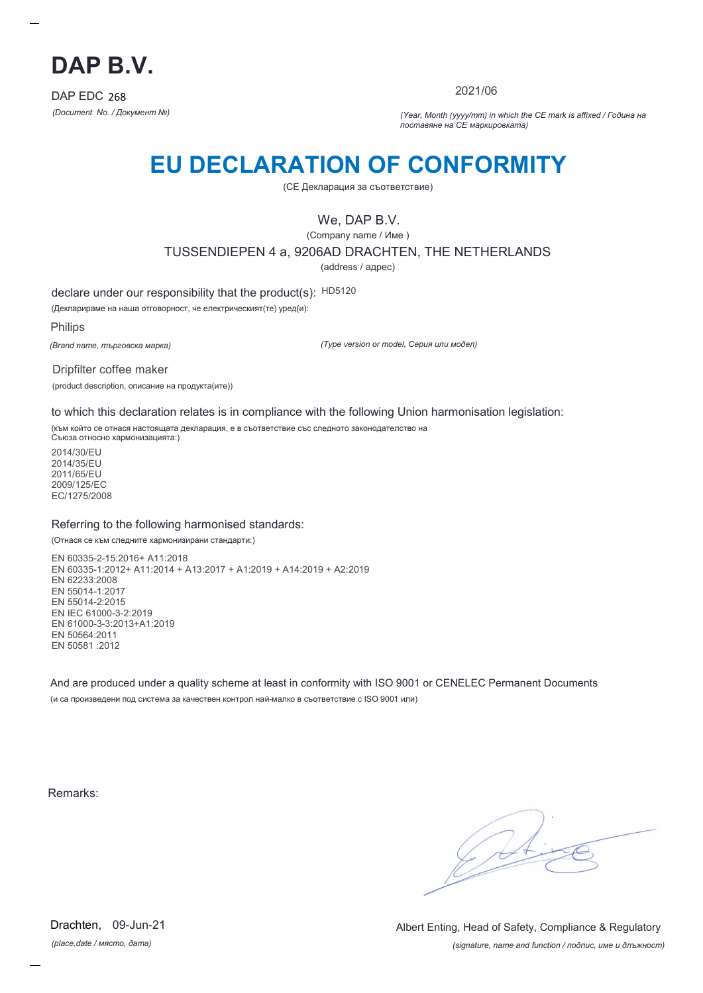

2021/06

*(Document No. / Документ №) (Year, Month (yyyy/mm) in which the CE mark is affixed / Година на поставяне на CE маркировката)*

## **EU DECLARATION OF CONFORMITY**

(CE Декларация за съответствие)

We, DAP B.V.

(Company name / Име )

TUSSENDIEPEN 4 a, 9206AD DRACHTEN, THE NETHERLANDS

(address / адрес)

declare under our responsibility that the product(s): HD5120

(Декларираме на наша отговорност, че електрическият(те) уред(и):

Philips

*(Brand name, търговска марка)*

*(Type version or model, Серия или модел)*

Dripfilter coffee maker (product description, описание на продукта(ите))

to which this declaration relates is in compliance with the following Union harmonisation legislation:

(към който се отнася настоящата декларация, е в съответствие със следното законодателство на Съюза относно хармонизацията:)

2014/30/EU 2014/35/EU 2011/65/EU 2009/125/EC EC/1275/2008

### Referring to the following harmonised standards:

(Отнася се към следните хармонизирани стандарти:)

EN 60335-2-15:2016+ A11:2018 EN 60335-1:2012+ A11:2014 + A13:2017 + A1:2019 + A14:2019 + A2:2019 EN 62233:2008 EN 55014-1:2017 EN 55014-2:2015 EN IEC 61000-3-2:2019 EN 61000-3-3:2013+A1:2019 EN 50564:2011 EN 50581 :2012

And are produced under a quality scheme at least in conformity with ISO 9001 or CENELEC Permanent Documents (и са произведени под система за качествен контрол най-малко в съответствие с ISO 9001 или)

Remarks:

*(place,date / място, дата)* Drachten, 09-Jun-21

*(signature, name and function / подпис, име и длъжност)* Albert Enting, Head of Safety, Compliance & Regulatory